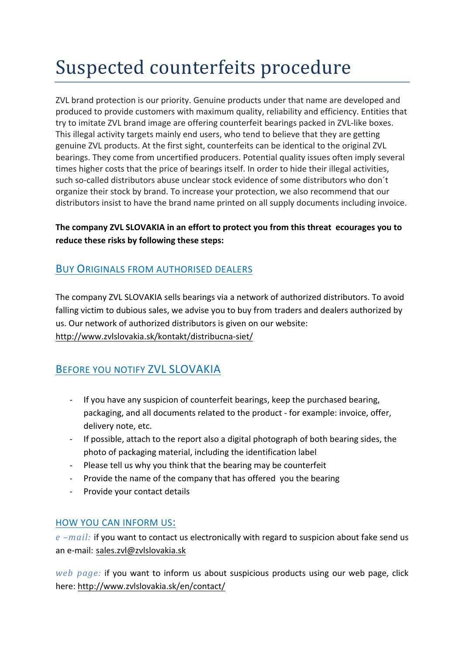# Suspected counterfeits procedure

ZVL brand protection is our priority. Genuine products under that name are developed and produced to provide customers with maximum quality, reliability and efficiency. Entities that try to imitate ZVL brand image are offering counterfeit bearings packed in ZVL-like boxes. This illegal activity targets mainly end users, who tend to believe that they are getting genuine ZVL products. At the first sight, counterfeits can be identical to the original ZVL bearings. They come from uncertified producers. Potential quality issues often imply several times higher costs that the price of bearings itself. In order to hide their illegal activities, such so-called distributors abuse unclear stock evidence of some distributors who don´t organize their stock by brand. To increase your protection, we also recommend that our distributors insist to have the brand name printed on all supply documents including invoice.

### **The company ZVL SLOVAKIA in an effort to protect you from this threat ecourages you to reduce these risks by following these steps:**

## BUY ORIGINALS FROM AUTHORISED DEALERS

The company ZVL SLOVAKIA sells bearings via a network of authorized distributors. To avoid falling victim to dubious sales, we advise you to buy from traders and dealers authorized by us. Our network of authorized distributors is given on our website: http://www.zvlslovakia.sk/kontakt/distribucna-siet/

## BEFORE YOU NOTIFY ZVL SLOVAKIA

- If you have any suspicion of counterfeit bearings, keep the purchased bearing, packaging, and all documents related to the product - for example: invoice, offer, delivery note, etc.
- If possible, attach to the report also a digital photograph of both bearing sides, the photo of packaging material, including the identification label
- Please tell us why you think that the bearing may be counterfeit
- Provide the name of the company that has offered you the bearing
- Provide your contact details

#### HOW YOU CAN INFORM US:

*e* –*mail:* if you want to contact us electronically with regard to suspicion about fake send us an e-mail: sales.zvl@zvlslovakia.sk

*web page:* if you want to inform us about suspicious products using our web page, click here: http://www.zvlslovakia.sk/en/contact/